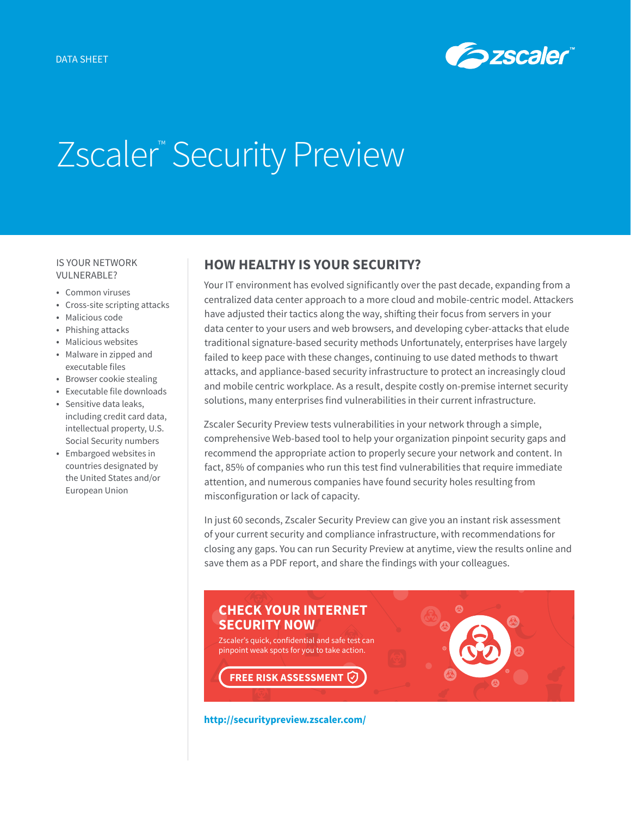

# Zscaler<sup>™</sup> Security Preview

### IS YOUR NETWORK VULNERABLE?

- Common viruses
- Cross-site scripting attacks
- Malicious code
- Phishing attacks
- Malicious websites
- Malware in zipped and executable files
- Browser cookie stealing
- Executable file downloads
- Sensitive data leaks, including credit card data, intellectual property, U.S. Social Security numbers
- Embargoed websites in countries designated by the United States and/or European Union

## **HOW HEALTHY IS YOUR SECURITY?**

Your IT environment has evolved significantly over the past decade, expanding from a centralized data center approach to a more cloud and mobile-centric model. Attackers have adjusted their tactics along the way, shifting their focus from servers in your data center to your users and web browsers, and developing cyber-attacks that elude traditional signature-based security methods Unfortunately, enterprises have largely failed to keep pace with these changes, continuing to use dated methods to thwart attacks, and appliance-based security infrastructure to protect an increasingly cloud and mobile centric workplace. As a result, despite costly on-premise internet security solutions, many enterprises find vulnerabilities in their current infrastructure.

Zscaler Security Preview tests vulnerabilities in your network through a simple, comprehensive Web-based tool to help your organization pinpoint security gaps and recommend the appropriate action to properly secure your network and content. In fact, 85% of companies who run this test find vulnerabilities that require immediate attention, and numerous companies have found security holes resulting from misconfiguration or lack of capacity.

In just 60 seconds, Zscaler Security Preview can give you an instant risk assessment of your current security and compliance infrastructure, with recommendations for closing any gaps. You can run Security Preview at anytime, view the results online and save them as a PDF report, and share the findings with your colleagues.



**<http://securitypreview.zscaler.com/>**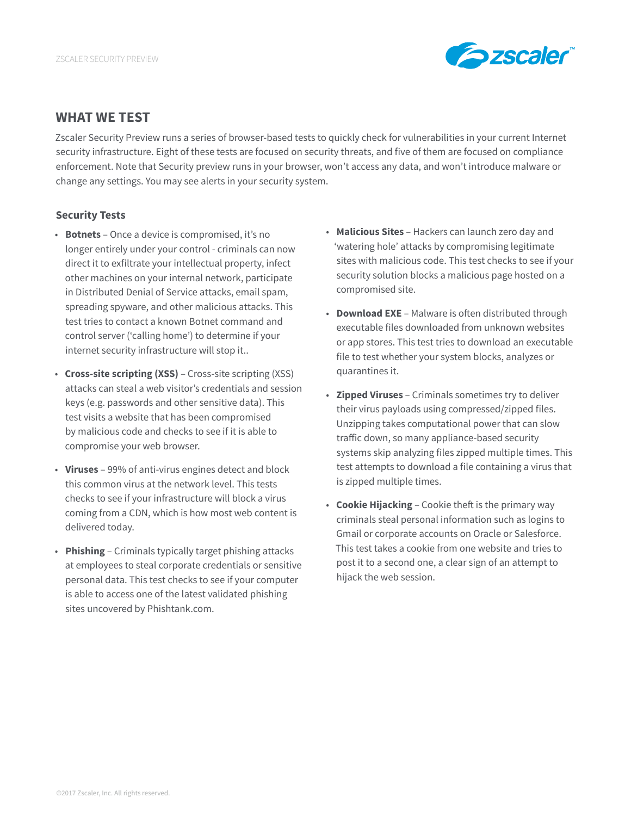

## **WHAT WE TEST**

Zscaler Security Preview runs a series of browser-based tests to quickly check for vulnerabilities in your current Internet security infrastructure. Eight of these tests are focused on security threats, and five of them are focused on compliance enforcement. Note that Security preview runs in your browser, won't access any data, and won't introduce malware or change any settings. You may see alerts in your security system.

## **Security Tests**

- **Botnets** Once a device is compromised, it's no longer entirely under your control - criminals can now direct it to exfiltrate your intellectual property, infect other machines on your internal network, participate in Distributed Denial of Service attacks, email spam, spreading spyware, and other malicious attacks. This test tries to contact a known Botnet command and control server ('calling home') to determine if your internet security infrastructure will stop it..
- **Cross-site scripting (XSS)** Cross-site scripting (XSS) attacks can steal a web visitor's credentials and session keys (e.g. passwords and other sensitive data). This test visits a website that has been compromised by malicious code and checks to see if it is able to compromise your web browser.
- **Viruses** 99% of anti-virus engines detect and block this common virus at the network level. This tests checks to see if your infrastructure will block a virus coming from a CDN, which is how most web content is delivered today.
- **Phishing** Criminals typically target phishing attacks at employees to steal corporate credentials or sensitive personal data. This test checks to see if your computer is able to access one of the latest validated phishing sites uncovered by Phishtank.com.
- **Malicious Sites** Hackers can launch zero day and 'watering hole' attacks by compromising legitimate sites with malicious code. This test checks to see if your security solution blocks a malicious page hosted on a compromised site.
- **Download EXE** Malware is often distributed through executable files downloaded from unknown websites or app stores. This test tries to download an executable file to test whether your system blocks, analyzes or quarantines it.
- **Zipped Viruses** Criminals sometimes try to deliver their virus payloads using compressed/zipped files. Unzipping takes computational power that can slow traffic down, so many appliance-based security systems skip analyzing files zipped multiple times. This test attempts to download a file containing a virus that is zipped multiple times.
- **Cookie Hijacking** Cookie theft is the primary way criminals steal personal information such as logins to Gmail or corporate accounts on Oracle or Salesforce. This test takes a cookie from one website and tries to post it to a second one, a clear sign of an attempt to hijack the web session.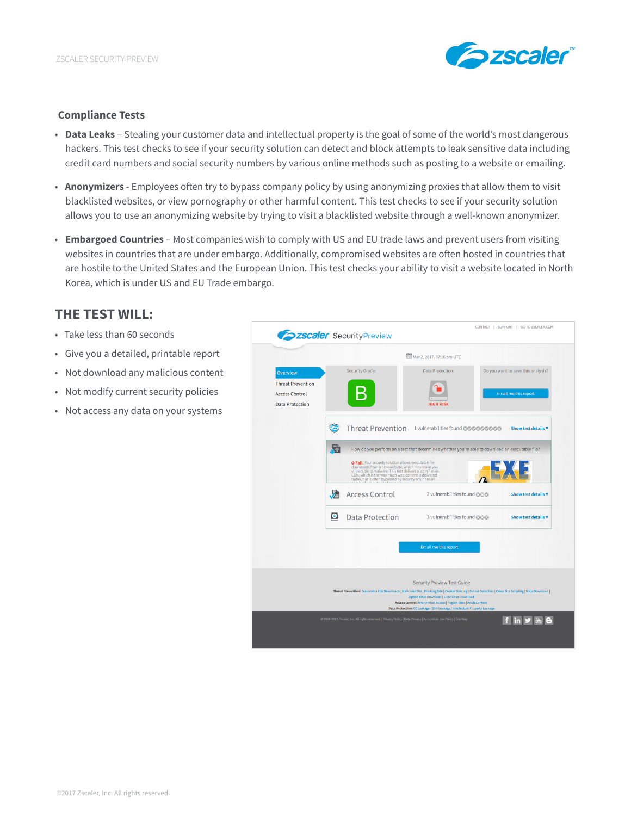

#### **Compliance Tests**

- **Data Leaks** Stealing your customer data and intellectual property is the goal of some of the world's most dangerous hackers. This test checks to see if your security solution can detect and block attempts to leak sensitive data including credit card numbers and social security numbers by various online methods such as posting to a website or emailing.
- **Anonymizers**  Employees often try to bypass company policy by using anonymizing proxies that allow them to visit blacklisted websites, or view pornography or other harmful content. This test checks to see if your security solution allows you to use an anonymizing website by trying to visit a blacklisted website through a well-known anonymizer.
- **Embargoed Countries** Most companies wish to comply with US and EU trade laws and prevent users from visiting websites in countries that are under embargo. Additionally, compromised websites are often hosted in countries that are hostile to the United States and the European Union. This test checks your ability to visit a website located in North Korea, which is under US and EU Trade embargo.

## **THE TEST WILL:**

- Take less than 60 seconds
- Give you a detailed, printable report
- Not download any malicious content
- Not modify current security policies
- Not access any data on your systems